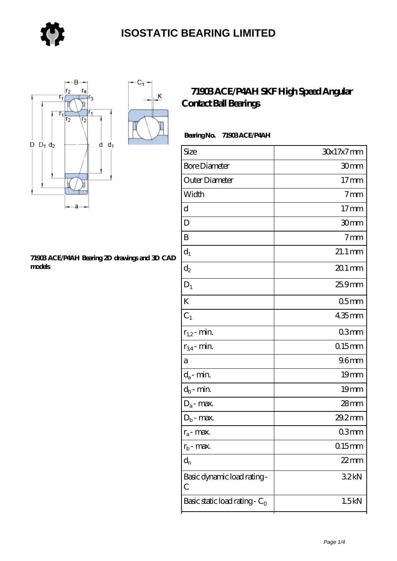

 $\overline{\mathsf{K}}$ 



#### **[71903 ACE/P4AH Bearing 2D drawings and 3D CAD](https://store-isabelmarant.com/pic-931619.html) [models](https://store-isabelmarant.com/pic-931619.html)**

#### **[71903 ACE/P4AH SKF High Speed Angular](https://store-isabelmarant.com/skf-bearings/71903-ace-p4ah.html) [Contact Ball Bearings](https://store-isabelmarant.com/skf-bearings/71903-ace-p4ah.html)**

#### **Bearing No. 71903 ACE/P4AH**

| Size                             | $30x17x7$ mm        |
|----------------------------------|---------------------|
| <b>Bore Diameter</b>             | 30mm                |
| Outer Diameter                   | 17 <sub>mm</sub>    |
| Width                            | 7 <sub>mm</sub>     |
| d                                | 17 <sub>mm</sub>    |
| D                                | 30mm                |
| B                                | 7 <sub>mm</sub>     |
| $d_1$                            | $21.1 \text{ mm}$   |
| $\mathrm{d}_2$                   | $201 \,\mathrm{mm}$ |
| $D_1$                            | 25.9mm              |
| K                                | 05 <sub>mm</sub>    |
| $C_1$                            | $435$ mm            |
| $r_{1,2}$ - min.                 | 03mm                |
| $r_{34}$ - min.                  | $0.15$ mm           |
| a                                | 96 <sub>mm</sub>    |
| $d_a$ - min.                     | 19 <sub>mm</sub>    |
| $d_b$ - min.                     | 19 <sub>mm</sub>    |
| $D_a$ - max.                     | $28$ mm             |
| $D_b$ - max.                     | 29.2mm              |
| $r_a$ - max.                     | 03mm                |
| $r_{b}$ - max.                   | $015$ mm            |
| $d_{n}$                          | $22$ mm             |
| Basic dynamic load rating-<br>С  | 32kN                |
| Basic static load rating - $C_0$ | 1.5kN               |
|                                  |                     |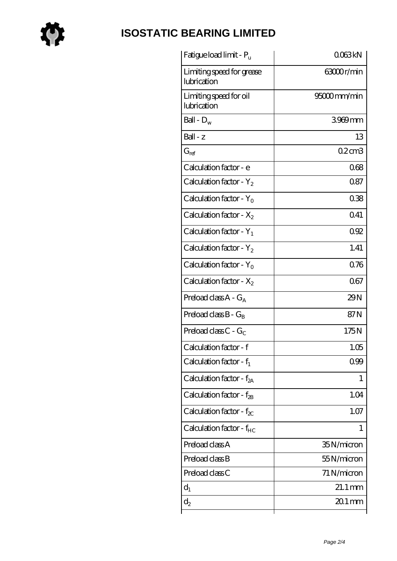

# **[ISOSTATIC BEARING LIMITED](https://store-isabelmarant.com)**

| Fatigue load limit - P <sub>u</sub>      | 0063kN               |
|------------------------------------------|----------------------|
| Limiting speed for grease<br>lubrication | 63000r/min           |
| Limiting speed for oil<br>lubrication    | 95000mm/min          |
| Ball - $D_w$                             | 3969mm               |
| $Ball - z$                               | 13                   |
| $G_{ref}$                                | $02$ cm $3$          |
| Calculation factor - e                   | 068                  |
| Calculation factor - $Y_2$               | 0.87                 |
| Calculation factor - $Y_0$               | 038                  |
| Calculation factor - $X_2$               | 0.41                 |
| Calculation factor - $Y_1$               | 0.92                 |
| Calculation factor - $Y_2$               | 1.41                 |
| Calculation factor - $Y_0$               | 0.76                 |
| Calculation factor - $X_2$               | 067                  |
| Preload class $A - G_A$                  | 29N                  |
| Preload class $B - G_B$                  | 87N                  |
| Preload class $C - G_C$                  | 175N                 |
| Calculation factor - f                   | 1.05                 |
| Calculation factor - $f_1$               | 0.99                 |
| Calculation factor - $f_{2A}$            | 1                    |
| Calculation factor - $f_{2B}$            | 1.04                 |
| Calculation factor - $f_{\chi}$          | 1.07                 |
| Calculation factor - f <sub>HC</sub>     | 1                    |
| Preload class A                          | 35N/micron           |
| Preload class B                          | 55N/micron           |
| Preload class C                          | 71 N/micron          |
| $d_1$                                    | $21.1 \,\mathrm{mm}$ |
| $\mathrm{d}_2$                           | $201$ mm             |
|                                          |                      |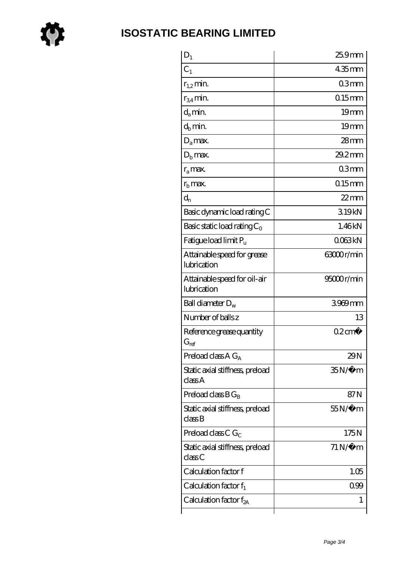

### **[ISOSTATIC BEARING LIMITED](https://store-isabelmarant.com)**

| $D_1$                                                         | 25.9mm                |
|---------------------------------------------------------------|-----------------------|
| C <sub>1</sub>                                                | $435$ mm              |
| $r_{1,2}$ min.                                                | 03mm                  |
| $r_{34}$ min.                                                 | $015$ mm              |
| $d_{a}$ min.                                                  | 19 <sub>mm</sub>      |
| $d_h$ min.                                                    | 19 <sub>mm</sub>      |
| $D_a$ max.                                                    | $28$ mm               |
| $Db$ max.                                                     | $29.2$ mm             |
| $r_a$ max.                                                    | 03mm                  |
| $r_{\rm b}$ max.                                              | $0.15$ mm             |
| $d_{n}$                                                       | $22$ mm               |
| Basic dynamic load rating C                                   | 319kN                 |
| Basic static load rating $C_0$                                | 1.46kN                |
| Fatigue load limit $P_u$                                      | 0063kN                |
| Attainable speed for grease<br>lubrication                    | 63000r/min            |
| Attainable speed for oil-air<br>lubrication                   | 95000r/min            |
| Ball diameter $D_w$                                           | 3969mm                |
| Number of balls z                                             | 13                    |
| Reference grease quantity<br>$G_{ref}$                        | $02 \text{cm}^3$      |
| Preload class $AG_A$                                          | 29N                   |
| Static axial stiffness, preload<br>classA                     | $35N/\mu$ m           |
| Preload class $BG_B$                                          | 87N                   |
| Static axial stiffness, preload<br>$\mathrm{class}\mathrm{B}$ | $55N/\mu$ m           |
| Preload class C $G_C$                                         | 175N                  |
| Static axial stiffness, preload<br>class C                    | $71\,\mathrm{N}\mu$ m |
| Calculation factor f                                          | 1.05                  |
| Calculation factor $f_1$                                      | 099                   |
| Calculation factor $f_{2A}$                                   | 1                     |
|                                                               |                       |